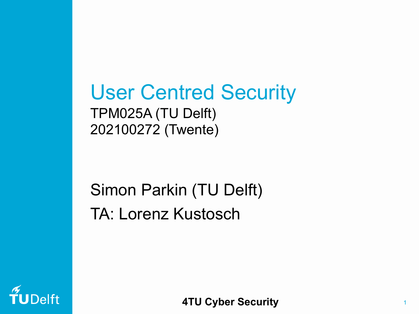User Centred Security TPM025A (TU Delft) 202100272 (Twente)

#### Simon Parkin (TU Delft) TA: Lorenz Kustosch



**4TU Cyber Security**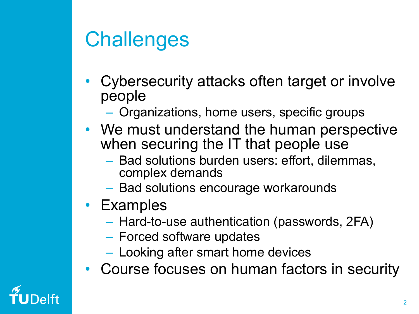## **Challenges**

- Cybersecurity attacks often target or involve people
	- Organizations, home users, specific groups
- We must understand the human perspective when securing the IT that people use
	- Bad solutions burden users: effort, dilemmas, complex demands
	- Bad solutions encourage workarounds
- Examples
	- Hard-to-use authentication (passwords, 2FA)
	- Forced software updates
	- Looking after smart home devices
- Course focuses on human factors in security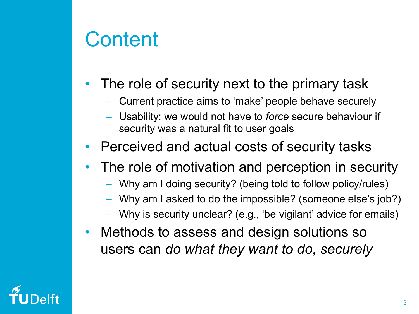### **Content**

- The role of security next to the primary task
	- Current practice aims to 'make' people behave securely
	- Usability: we would not have to *force* secure behaviour if security was a natural fit to user goals
- Perceived and actual costs of security tasks
- The role of motivation and perception in security
	- Why am I doing security? (being told to follow policy/rules)
	- Why am I asked to do the impossible? (someone else's job?)
	- Why is security unclear? (e.g., 'be vigilant' advice for emails)
- Methods to assess and design solutions so users can *do what they want to do, securely*

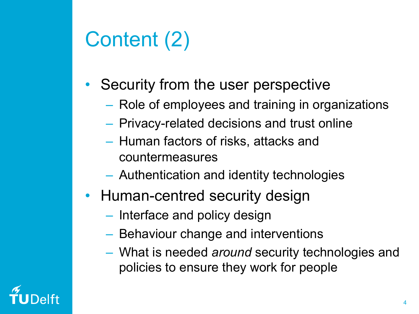# Content (2)

- Security from the user perspective
	- Role of employees and training in organizations
	- Privacy-related decisions and trust online
	- Human factors of risks, attacks and countermeasures
	- Authentication and identity technologies
- Human-centred security design
	- Interface and policy design
	- Behaviour change and interventions
	- What is needed *around* security technologies and policies to ensure they work for people

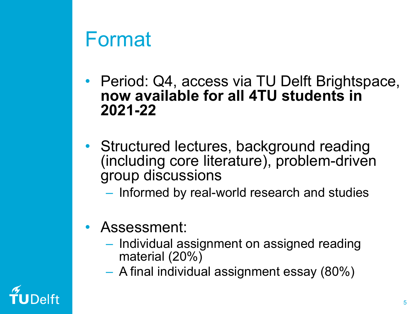#### Format

- Period: Q4, access via TU Delft Brightspace, **now available for all 4TU students in 2021-22**
- Structured lectures, background reading (including core literature), problem-driven group discussions
	- Informed by real-world research and studies
- Assessment:
	- Individual assignment on assigned reading material (20%)
	- A final individual assignment essay (80%)